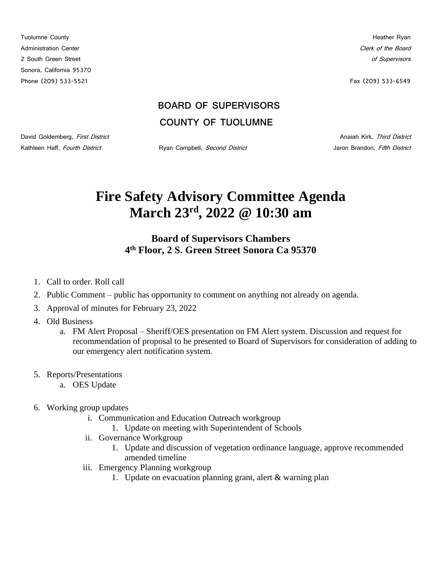Tuolumne County **Heather Ryan** Administration Center Content of the Board Clerk of the Board Clerk of the Board Clerk of the Board Clerk of the Board Clerk of the Board Clerk of the Board Clerk of the Board Clerk of the Board Clerk of the Board Clerk of 2 South Green Street of Supervisors and Supervisors and Supervisors and Supervisors and Supervisors and Supervisors Sonora, California 95370 Phone (209) 533-5521 Fax (209) 533-6549

## **BOARD OF SUPERVISORS COUNTY OF TUOLUMNE**

David Goldemberg, First District Anaiah Kirk, Third District Anaiah Kirk, Third District

Kathleen Haff, Fourth District **National Community Ryan Campbell**, Second District **Jaron Brandon, Fifth District** 

## **Fire Safety Advisory Committee Agenda March 23rd, 2022 @ 10:30 am**

## **Board of Supervisors Chambers 4 th Floor, 2 S. Green Street Sonora Ca 95370**

- 1. Call to order. Roll call
- 2. Public Comment public has opportunity to comment on anything not already on agenda.
- 3. Approval of minutes for February 23, 2022
- 4. Old Business
	- a. FM Alert Proposal Sheriff/OES presentation on FM Alert system. Discussion and request for recommendation of proposal to be presented to Board of Supervisors for consideration of adding to our emergency alert notification system.
- 5. Reports/Presentations
	- a. OES Update
- 6. Working group updates
	- i. Communication and Education Outreach workgroup
		- 1. Update on meeting with Superintendent of Schools
	- ii. Governance Workgroup
		- 1. Update and discussion of vegetation ordinance language, approve recommended amended timeline
	- iii. Emergency Planning workgroup
		- 1. Update on evacuation planning grant, alert & warning plan